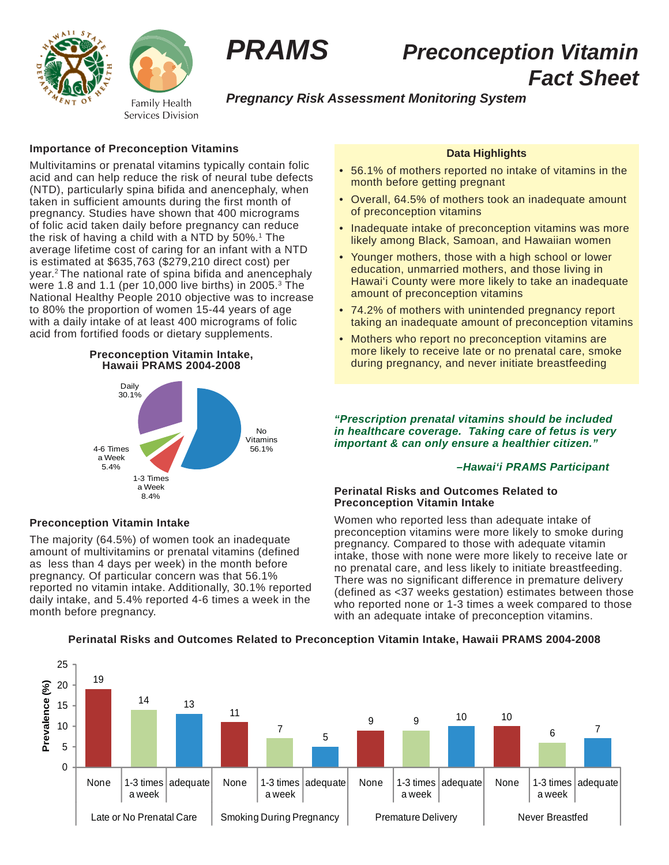



# *PRAMS Preconception Vitamin Fact Sheet*

# *Pregnancy Risk Assessment Monitoring System*

# **Importance of Preconception Vitamins**

Multivitamins or prenatal vitamins typically contain folic acid and can help reduce the risk of neural tube defects (NTD), particularly spina bifida and anencephaly, when taken in sufficient amounts during the first month of pregnancy. Studies have shown that 400 micrograms of folic acid taken daily before pregnancy can reduce the risk of having a child with a NTD by 50%.<sup>1</sup> The average lifetime cost of caring for an infant with a NTD is estimated at \$635,763 (\$279,210 direct cost) per year.2 The national rate of spina bifida and anencephaly were 1.8 and 1.1 (per 10,000 live births) in 2005.3 The National Healthy People 2010 objective was to increase to 80% the proportion of women 15-44 years of age with a daily intake of at least 400 micrograms of folic acid from fortified foods or dietary supplements.

### **Preconception Vitamin Intake, Hawaii PRAMS 2004-2008**



# **Preconception Vitamin Intake**

The majority (64.5%) of women took an inadequate amount of multivitamins or prenatal vitamins (defined as less than 4 days per week) in the month before pregnancy. Of particular concern was that 56.1% reported no vitamin intake. Additionally, 30.1% reported daily intake, and 5.4% reported 4-6 times a week in the month before pregnancy.

# **Data Highlights**

- 56.1% of mothers reported no intake of vitamins in the month before getting pregnant
- Overall, 64.5% of mothers took an inadequate amount of preconception vitamins
- Inadequate intake of preconception vitamins was more likely among Black, Samoan, and Hawaiian women
- Younger mothers, those with a high school or lower education, unmarried mothers, and those living in Hawai'i County were more likely to take an inadequate amount of preconception vitamins
- 74.2% of mothers with unintended pregnancy report taking an inadequate amount of preconception vitamins
- Mothers who report no preconception vitamins are more likely to receive late or no prenatal care, smoke during pregnancy, and never initiate breastfeeding

*"Prescription prenatal vitamins should be included in healthcare coverage. Taking care of fetus is very important & can only ensure a healthier citizen."*

### *–Hawai'i PRAMS Participant*

# **Perinatal Risks and Outcomes Related to Preconception Vitamin Intake**

Women who reported less than adequate intake of preconception vitamins were more likely to smoke during pregnancy. Compared to those with adequate vitamin intake, those with none were more likely to receive late or no prenatal care, and less likely to initiate breastfeeding. There was no significant difference in premature delivery (defined as <37 weeks gestation) estimates between those who reported none or 1-3 times a week compared to those with an adequate intake of preconception vitamins.

#### 25 19 20 Prevalence (%) **Prevalence (%)**  $14 \t 13$ 15 11 9 9 <mark>10 10</mark> 10 7 <sup>6</sup> <sup>7</sup> 5 5  $\Omega$ None | 1-3 times | adequate None  $|1-3$  times None  $|1-3$  times  $ad$ equate  $\vert$  None  $\vert$  1-3 times adequate adequate a week a week a week a week Late or No Prenatal Care | Smoking During Pregnancy | Premature Delivery | Never Breastfed

# **Perinatal Risks and Outcomes Related to Preconception Vitamin Intake, Hawaii PRAMS 2004-2008**